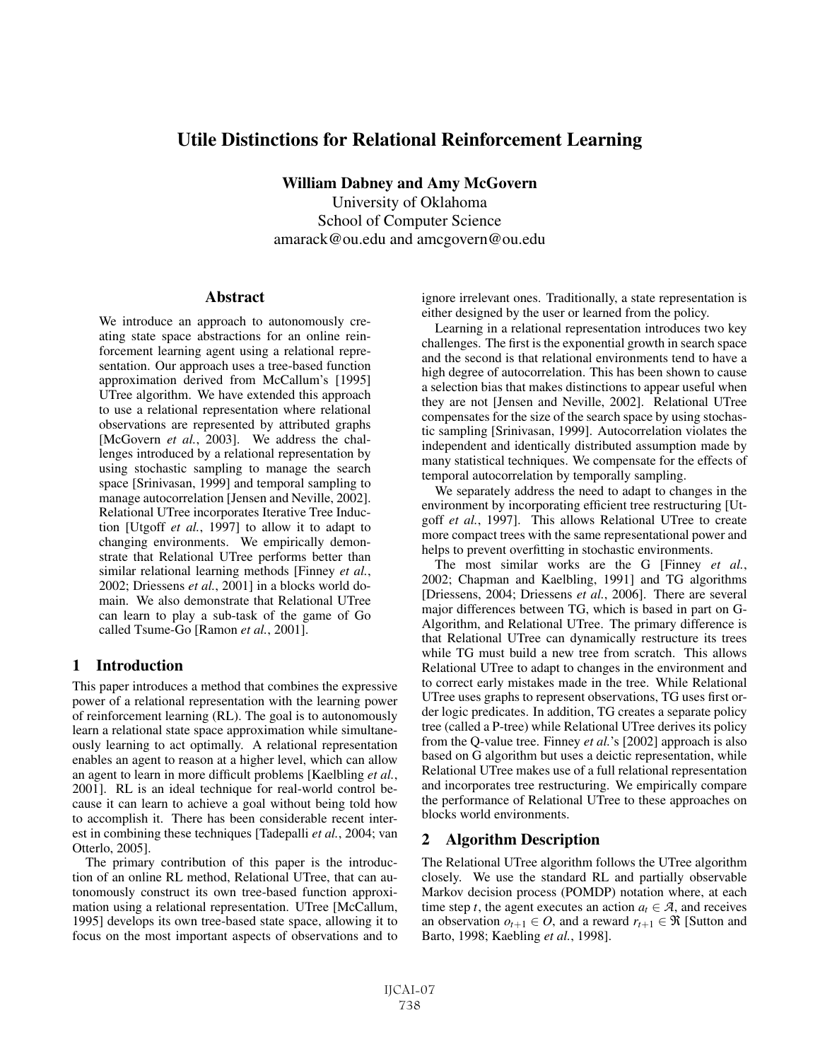# Utile Distinctions for Relational Reinforcement Learning

William Dabney and Amy McGovern University of Oklahoma School of Computer Science amarack@ou.edu and amcgovern@ou.edu

## Abstract

We introduce an approach to autonomously creating state space abstractions for an online reinforcement learning agent using a relational representation. Our approach uses a tree-based function approximation derived from McCallum's [1995] UTree algorithm. We have extended this approach to use a relational representation where relational observations are represented by attributed graphs [McGovern *et al.*, 2003]. We address the challenges introduced by a relational representation by using stochastic sampling to manage the search space [Srinivasan, 1999] and temporal sampling to manage autocorrelation [Jensen and Neville, 2002]. Relational UTree incorporates Iterative Tree Induction [Utgoff *et al.*, 1997] to allow it to adapt to changing environments. We empirically demonstrate that Relational UTree performs better than similar relational learning methods [Finney *et al.*, 2002; Driessens *et al.*, 2001] in a blocks world domain. We also demonstrate that Relational UTree can learn to play a sub-task of the game of Go called Tsume-Go [Ramon *et al.*, 2001].

## 1 Introduction

This paper introduces a method that combines the expressive power of a relational representation with the learning power of reinforcement learning (RL). The goal is to autonomously learn a relational state space approximation while simultaneously learning to act optimally. A relational representation enables an agent to reason at a higher level, which can allow an agent to learn in more difficult problems [Kaelbling *et al.*, 2001]. RL is an ideal technique for real-world control because it can learn to achieve a goal without being told how to accomplish it. There has been considerable recent interest in combining these techniques [Tadepalli *et al.*, 2004; van Otterlo, 2005].

The primary contribution of this paper is the introduction of an online RL method, Relational UTree, that can autonomously construct its own tree-based function approximation using a relational representation. UTree [McCallum, 1995] develops its own tree-based state space, allowing it to focus on the most important aspects of observations and to ignore irrelevant ones. Traditionally, a state representation is either designed by the user or learned from the policy.

Learning in a relational representation introduces two key challenges. The first is the exponential growth in search space and the second is that relational environments tend to have a high degree of autocorrelation. This has been shown to cause a selection bias that makes distinctions to appear useful when they are not [Jensen and Neville, 2002]. Relational UTree compensates for the size of the search space by using stochastic sampling [Srinivasan, 1999]. Autocorrelation violates the independent and identically distributed assumption made by many statistical techniques. We compensate for the effects of temporal autocorrelation by temporally sampling.

We separately address the need to adapt to changes in the environment by incorporating efficient tree restructuring [Utgoff *et al.*, 1997]. This allows Relational UTree to create more compact trees with the same representational power and helps to prevent overfitting in stochastic environments.

The most similar works are the G [Finney *et al.*, 2002; Chapman and Kaelbling, 1991] and TG algorithms [Driessens, 2004; Driessens *et al.*, 2006]. There are several major differences between TG, which is based in part on G-Algorithm, and Relational UTree. The primary difference is that Relational UTree can dynamically restructure its trees while TG must build a new tree from scratch. This allows Relational UTree to adapt to changes in the environment and to correct early mistakes made in the tree. While Relational UTree uses graphs to represent observations, TG uses first order logic predicates. In addition, TG creates a separate policy tree (called a P-tree) while Relational UTree derives its policy from the Q-value tree. Finney *et al.*'s [2002] approach is also based on G algorithm but uses a deictic representation, while Relational UTree makes use of a full relational representation and incorporates tree restructuring. We empirically compare the performance of Relational UTree to these approaches on blocks world environments.

## 2 Algorithm Description

The Relational UTree algorithm follows the UTree algorithm closely. We use the standard RL and partially observable Markov decision process (POMDP) notation where, at each time step *t*, the agent executes an action  $a_t \in \mathcal{A}$ , and receives an observation  $o_{t+1} \in O$ , and a reward  $r_{t+1} \in \Re$  [Sutton and Barto, 1998; Kaebling *et al.*, 1998].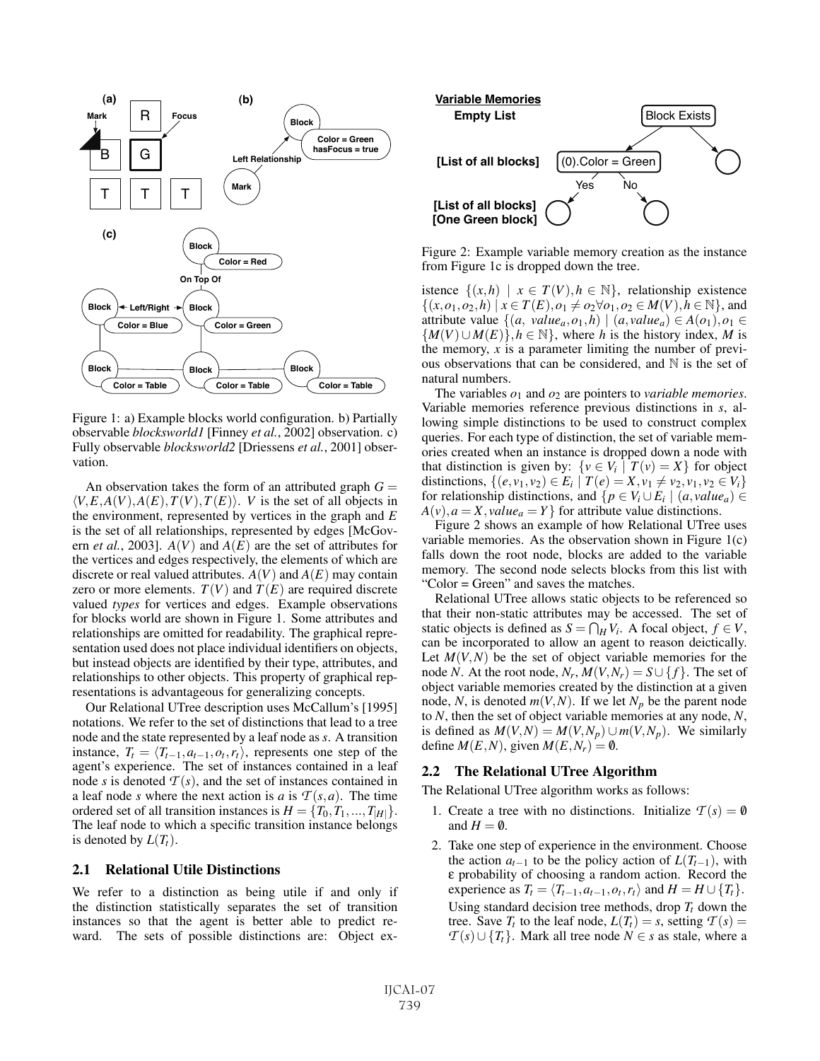

Figure 1: a) Example blocks world configuration. b) Partially observable *blocksworld1* [Finney *et al.*, 2002] observation. c) Fully observable *blocksworld2* [Driessens *et al.*, 2001] observation.

An observation takes the form of an attributed graph  $G =$  $\langle V, E, A(V), A(E), T(V), T(E) \rangle$ . *V* is the set of all objects in the environment, represented by vertices in the graph and *E* is the set of all relationships, represented by edges [McGovern *et al.*, 2003].  $A(V)$  and  $A(E)$  are the set of attributes for the vertices and edges respectively, the elements of which are discrete or real valued attributes.  $A(V)$  and  $A(E)$  may contain zero or more elements.  $T(V)$  and  $T(E)$  are required discrete valued *types* for vertices and edges. Example observations for blocks world are shown in Figure 1. Some attributes and relationships are omitted for readability. The graphical representation used does not place individual identifiers on objects, but instead objects are identified by their type, attributes, and relationships to other objects. This property of graphical representations is advantageous for generalizing concepts.

Our Relational UTree description uses McCallum's [1995] notations. We refer to the set of distinctions that lead to a tree node and the state represented by a leaf node as *s*. A transition instance,  $T_t = \langle T_{t-1}, a_{t-1}, o_t, r_t \rangle$ , represents one step of the agent's experience. The set of instances contained in a leaf node *s* is denoted  $T(s)$ , and the set of instances contained in a leaf node *s* where the next action is *a* is  $\mathcal{T}(s, a)$ . The time ordered set of all transition instances is  $H = \{T_0, T_1, ..., T_{|H|}\}.$ The leaf node to which a specific transition instance belongs is denoted by  $L(T_t)$ .

## 2.1 Relational Utile Distinctions

We refer to a distinction as being utile if and only if the distinction statistically separates the set of transition instances so that the agent is better able to predict reward. The sets of possible distinctions are: Object ex-



Figure 2: Example variable memory creation as the instance from Figure 1c is dropped down the tree.

istence  $\{(x,h) | x \in T(V), h \in \mathbb{N}\}\$ , relationship existence  $\{(x, o_1, o_2, h) \mid x \in T(E), o_1 \neq o_2 \forall o_1, o_2 \in M(V), h \in \mathbb{N}\},\$ and attribute value  $\{(a, value_a, o_1, h) \mid (a, value_a) \in A(o_1), o_1 \in A(o_1)\}$  ${M(V) \cup M(E)}$ ,  $h \in \mathbb{N}$ , where *h* is the history index, *M* is the memory, *x* is a parameter limiting the number of previous observations that can be considered, and  $\mathbb N$  is the set of natural numbers.

The variables  $o_1$  and  $o_2$  are pointers to *variable memories*. Variable memories reference previous distinctions in *s*, allowing simple distinctions to be used to construct complex queries. For each type of distinction, the set of variable memories created when an instance is dropped down a node with that distinction is given by:  $\{v \in V_i \mid T(v) = X\}$  for object distinctions,  $\{(e, v_1, v_2) \in E_i \mid T(e) = X, v_1 \neq v_2, v_1, v_2 \in V_i\}$ for relationship distinctions, and  $\{p \in V_i \cup E_i \mid (a, value_a) \in$  $A(v)$ ,  $a = X$ , *value*<sub>a</sub> = *Y* } for attribute value distinctions.

Figure 2 shows an example of how Relational UTree uses variable memories. As the observation shown in Figure 1(c) falls down the root node, blocks are added to the variable memory. The second node selects blocks from this list with "Color = Green" and saves the matches.

Relational UTree allows static objects to be referenced so that their non-static attributes may be accessed. The set of static objects is defined as  $S = \bigcap_H V_i$ . A focal object,  $f \in V$ , can be incorporated to allow an agent to reason deictically. Let  $M(V, N)$  be the set of object variable memories for the node *N*. At the root node,  $N_r$ ,  $M(V, N_r) = S \cup \{f\}$ . The set of object variable memories created by the distinction at a given node, *N*, is denoted  $m(V, N)$ . If we let  $N_p$  be the parent node to *N*, then the set of object variable memories at any node, *N*, is defined as  $M(V, N) = M(V, N_p) \cup m(V, N_p)$ . We similarly define  $M(E, N)$ , given  $M(E, N_r) = \emptyset$ .

#### 2.2 The Relational UTree Algorithm

The Relational UTree algorithm works as follows:

- 1. Create a tree with no distinctions. Initialize  $T(s) = \mathbf{0}$ and  $H = \emptyset$ .
- 2. Take one step of experience in the environment. Choose the action  $a_{t-1}$  to be the policy action of  $L(T_{t-1})$ , with ε probability of choosing a random action. Record the experience as  $T_t = \langle T_{t-1}, a_{t-1}, o_t, r_t \rangle$  and  $H = H \cup \{T_t\}.$ Using standard decision tree methods, drop  $T_t$  down the tree. Save  $T_t$  to the leaf node,  $L(T_t) = s$ , setting  $T(s) =$ *T*(*s*)∪{*T<sub>t</sub>*}. Mark all tree node *N* ∈ *s* as stale, where a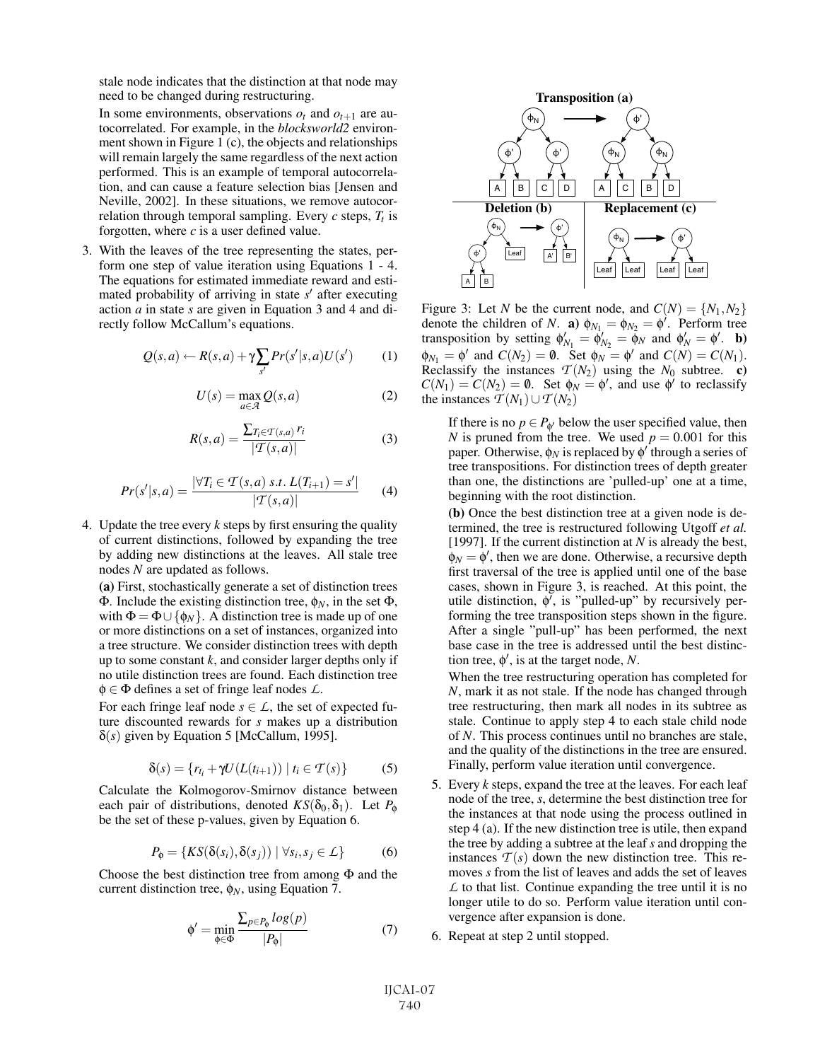stale node indicates that the distinction at that node may need to be changed during restructuring.

In some environments, observations  $o_t$  and  $o_{t+1}$  are autocorrelated. For example, in the *blocksworld2* environment shown in Figure 1 (c), the objects and relationships will remain largely the same regardless of the next action performed. This is an example of temporal autocorrelation, and can cause a feature selection bias [Jensen and Neville, 2002]. In these situations, we remove autocorrelation through temporal sampling. Every  $c$  steps,  $T_t$  is forgotten, where *c* is a user defined value.

3. With the leaves of the tree representing the states, perform one step of value iteration using Equations 1 - 4. The equations for estimated immediate reward and estimated probability of arriving in state  $s'$  after executing action *a* in state *s* are given in Equation 3 and 4 and directly follow McCallum's equations.

$$
Q(s,a) \leftarrow R(s,a) + \gamma \sum_{s'} Pr(s'|s,a)U(s')
$$
 (1)

$$
U(s) = \max_{a \in \mathcal{A}} Q(s, a)
$$
 (2)

$$
R(s,a) = \frac{\sum_{T_i \in \mathcal{T}(s,a)} r_i}{|\mathcal{T}(s,a)|} \tag{3}
$$

$$
Pr(s'|s,a) = \frac{|\forall T_i \in \mathcal{T}(s,a) \ s.t. \ L(T_{i+1}) = s'|}{|\mathcal{T}(s,a)|} \tag{4}
$$

4. Update the tree every *k* steps by first ensuring the quality of current distinctions, followed by expanding the tree by adding new distinctions at the leaves. All stale tree nodes *N* are updated as follows.

(a) First, stochastically generate a set of distinction trees Φ. Include the existing distinction tree, φ*N*, in the set Φ, with  $\Phi = \Phi \cup \{\phi_N\}$ . A distinction tree is made up of one or more distinctions on a set of instances, organized into a tree structure. We consider distinction trees with depth up to some constant *k*, and consider larger depths only if no utile distinction trees are found. Each distinction tree φ ∈ Φ defines a set of fringe leaf nodes *L*.

For each fringe leaf node  $s \in L$ , the set of expected future discounted rewards for *s* makes up a distribution δ(*s*) given by Equation 5 [McCallum, 1995].

$$
\delta(s) = \{r_{t_i} + \gamma U(L(t_{i+1})) \mid t_i \in \mathcal{T}(s)\}\tag{5}
$$

Calculate the Kolmogorov-Smirnov distance between each pair of distributions, denoted  $KS(\delta_0, \delta_1)$ . Let  $P_{\phi}$ be the set of these p-values, given by Equation 6.

$$
P_{\phi} = \{KS(\delta(s_i), \delta(s_j)) \mid \forall s_i, s_j \in \mathcal{L}\}
$$
 (6)

Choose the best distinction tree from among  $\Phi$  and the current distinction tree,  $\phi_N$ , using Equation 7.

$$
\phi' = \min_{\phi \in \Phi} \frac{\sum_{p \in P_{\phi}} log(p)}{|P_{\phi}|} \tag{7}
$$



Figure 3: Let *N* be the current node, and  $C(N) = \{N_1, N_2\}$ denote the children of *N*. **a**)  $\phi_{N_1} = \phi_{N_2} = \phi'$ . Perform tree transposition by setting  $\phi'_{N_1} = \dot{\phi}'_{N_2} = \tilde{\phi}_N$  and  $\phi'_{N} = \phi'$ . **b**)  $\phi_{N_1} = \phi'$  and  $C(N_2) = \emptyset$ . Set  $\phi_N = \phi'$  and  $C(N) = C(N_1)$ . Reclassify the instances  $T(N_2)$  using the  $N_0$  subtree. c)  $C(N_1) = C(N_2) = \emptyset$ . Set  $\phi_N = \phi'$ , and use  $\phi'$  to reclassify the instances  $T(N_1) \cup T(N_2)$ 

If there is no  $p \in P_{\phi}$  below the user specified value, then *N* is pruned from the tree. We used  $p = 0.001$  for this paper. Otherwise,  $\phi_N$  is replaced by  $\phi'$  through a series of tree transpositions. For distinction trees of depth greater than one, the distinctions are 'pulled-up' one at a time, beginning with the root distinction.

(b) Once the best distinction tree at a given node is determined, the tree is restructured following Utgoff *et al.* [1997]. If the current distinction at *N* is already the best,  $\phi_N = \phi'$ , then we are done. Otherwise, a recursive depth first traversal of the tree is applied until one of the base cases, shown in Figure 3, is reached. At this point, the utile distinction,  $\dot{\phi}$ , is "pulled-up" by recursively performing the tree transposition steps shown in the figure. After a single "pull-up" has been performed, the next base case in the tree is addressed until the best distinction tree,  $\phi'$ , is at the target node, *N*.

When the tree restructuring operation has completed for *N*, mark it as not stale. If the node has changed through tree restructuring, then mark all nodes in its subtree as stale. Continue to apply step 4 to each stale child node of *N*. This process continues until no branches are stale, and the quality of the distinctions in the tree are ensured. Finally, perform value iteration until convergence.

- 5. Every *k* steps, expand the tree at the leaves. For each leaf node of the tree, *s*, determine the best distinction tree for the instances at that node using the process outlined in step 4 (a). If the new distinction tree is utile, then expand the tree by adding a subtree at the leaf *s* and dropping the instances  $T(s)$  down the new distinction tree. This removes *s* from the list of leaves and adds the set of leaves *L* to that list. Continue expanding the tree until it is no longer utile to do so. Perform value iteration until convergence after expansion is done.
- 6. Repeat at step 2 until stopped.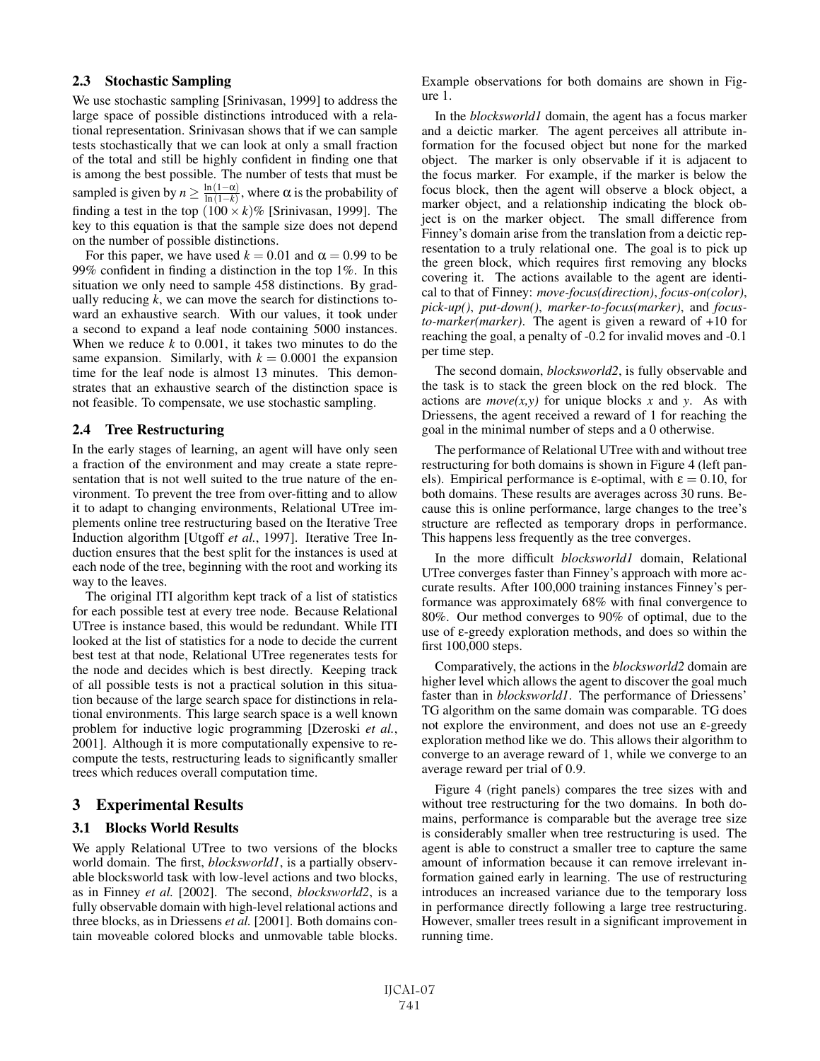### 2.3 Stochastic Sampling

We use stochastic sampling [Srinivasan, 1999] to address the large space of possible distinctions introduced with a relational representation. Srinivasan shows that if we can sample tests stochastically that we can look at only a small fraction of the total and still be highly confident in finding one that is among the best possible. The number of tests that must be sampled is given by  $n \geq \frac{\ln(1-\alpha)}{\ln(1-k)}$ , where  $\alpha$  is the probability of finding a test in the top  $(100 \times k)\%$  [Srinivasan, 1999]. The key to this equation is that the sample size does not depend on the number of possible distinctions.

For this paper, we have used  $k = 0.01$  and  $\alpha = 0.99$  to be 99% confident in finding a distinction in the top 1%. In this situation we only need to sample 458 distinctions. By gradually reducing *k*, we can move the search for distinctions toward an exhaustive search. With our values, it took under a second to expand a leaf node containing 5000 instances. When we reduce  $k$  to 0.001, it takes two minutes to do the same expansion. Similarly, with  $k = 0.0001$  the expansion time for the leaf node is almost 13 minutes. This demonstrates that an exhaustive search of the distinction space is not feasible. To compensate, we use stochastic sampling.

#### 2.4 Tree Restructuring

In the early stages of learning, an agent will have only seen a fraction of the environment and may create a state representation that is not well suited to the true nature of the environment. To prevent the tree from over-fitting and to allow it to adapt to changing environments, Relational UTree implements online tree restructuring based on the Iterative Tree Induction algorithm [Utgoff *et al.*, 1997]. Iterative Tree Induction ensures that the best split for the instances is used at each node of the tree, beginning with the root and working its way to the leaves.

The original ITI algorithm kept track of a list of statistics for each possible test at every tree node. Because Relational UTree is instance based, this would be redundant. While ITI looked at the list of statistics for a node to decide the current best test at that node, Relational UTree regenerates tests for the node and decides which is best directly. Keeping track of all possible tests is not a practical solution in this situation because of the large search space for distinctions in relational environments. This large search space is a well known problem for inductive logic programming [Dzeroski *et al.*, 2001]. Although it is more computationally expensive to recompute the tests, restructuring leads to significantly smaller trees which reduces overall computation time.

## 3 Experimental Results

## 3.1 Blocks World Results

We apply Relational UTree to two versions of the blocks world domain. The first, *blocksworld1*, is a partially observable blocksworld task with low-level actions and two blocks, as in Finney *et al.* [2002]. The second, *blocksworld2*, is a fully observable domain with high-level relational actions and three blocks, as in Driessens *et al.* [2001]. Both domains contain moveable colored blocks and unmovable table blocks. Example observations for both domains are shown in Figure 1.

In the *blocksworld1* domain, the agent has a focus marker and a deictic marker. The agent perceives all attribute information for the focused object but none for the marked object. The marker is only observable if it is adjacent to the focus marker. For example, if the marker is below the focus block, then the agent will observe a block object, a marker object, and a relationship indicating the block object is on the marker object. The small difference from Finney's domain arise from the translation from a deictic representation to a truly relational one. The goal is to pick up the green block, which requires first removing any blocks covering it. The actions available to the agent are identical to that of Finney: *move-focus(direction)*, *focus-on(color)*, *pick-up()*, *put-down()*, *marker-to-focus(marker)*, and *focusto-marker(marker)*. The agent is given a reward of +10 for reaching the goal, a penalty of -0.2 for invalid moves and -0.1 per time step.

The second domain, *blocksworld2*, is fully observable and the task is to stack the green block on the red block. The actions are  $move(x, y)$  for unique blocks *x* and *y*. As with Driessens, the agent received a reward of 1 for reaching the goal in the minimal number of steps and a 0 otherwise.

The performance of Relational UTree with and without tree restructuring for both domains is shown in Figure 4 (left panels). Empirical performance is  $\varepsilon$ -optimal, with  $\varepsilon = 0.10$ , for both domains. These results are averages across 30 runs. Because this is online performance, large changes to the tree's structure are reflected as temporary drops in performance. This happens less frequently as the tree converges.

In the more difficult *blocksworld1* domain, Relational UTree converges faster than Finney's approach with more accurate results. After 100,000 training instances Finney's performance was approximately 68% with final convergence to 80%. Our method converges to 90% of optimal, due to the use of ε-greedy exploration methods, and does so within the first 100,000 steps.

Comparatively, the actions in the *blocksworld2* domain are higher level which allows the agent to discover the goal much faster than in *blocksworld1*. The performance of Driessens' TG algorithm on the same domain was comparable. TG does not explore the environment, and does not use an ε-greedy exploration method like we do. This allows their algorithm to converge to an average reward of 1, while we converge to an average reward per trial of 0.9.

Figure 4 (right panels) compares the tree sizes with and without tree restructuring for the two domains. In both domains, performance is comparable but the average tree size is considerably smaller when tree restructuring is used. The agent is able to construct a smaller tree to capture the same amount of information because it can remove irrelevant information gained early in learning. The use of restructuring introduces an increased variance due to the temporary loss in performance directly following a large tree restructuring. However, smaller trees result in a significant improvement in running time.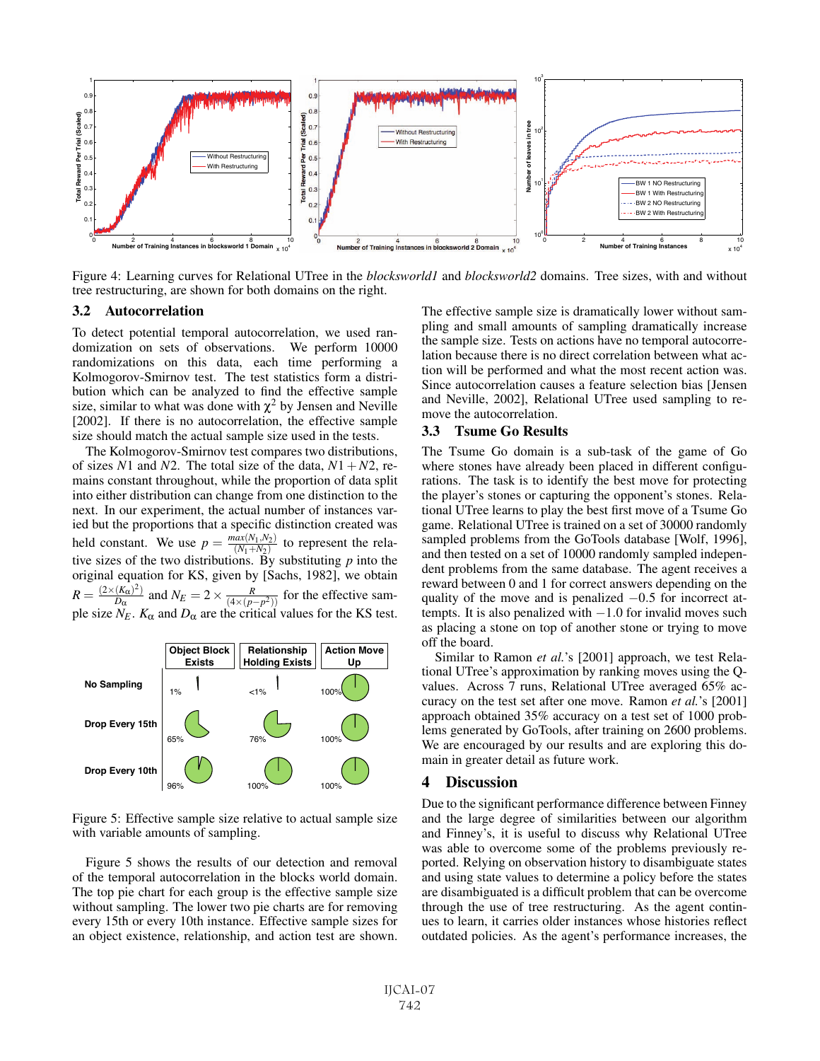

Figure 4: Learning curves for Relational UTree in the *blocksworld1* and *blocksworld2* domains. Tree sizes, with and without tree restructuring, are shown for both domains on the right.

#### 3.2 Autocorrelation

To detect potential temporal autocorrelation, we used randomization on sets of observations. We perform 10000 randomizations on this data, each time performing a Kolmogorov-Smirnov test. The test statistics form a distribution which can be analyzed to find the effective sample size, similar to what was done with  $\chi^2$  by Jensen and Neville [2002]. If there is no autocorrelation, the effective sample size should match the actual sample size used in the tests.

The Kolmogorov-Smirnov test compares two distributions, of sizes *N*1 and *N*2. The total size of the data,  $N1 + N2$ , remains constant throughout, while the proportion of data split into either distribution can change from one distinction to the next. In our experiment, the actual number of instances varied but the proportions that a specific distinction created was held constant. We use  $p = \frac{max(N_1, N_2)}{(N_1 + N_2)}$  to represent the relative sizes of the two distributions. By substituting *p* into the original equation for KS, given by [Sachs, 1982], we obtain  $R = \frac{(2 \times (K_{\alpha})^2)}{D_{\alpha}}$  and  $N_E = 2 \times \frac{R}{(4 \times (p - p^2))}$  for the effective sample size  $N_E$ .  $K_\alpha$  and  $D_\alpha$  are the critical values for the KS test.



Figure 5: Effective sample size relative to actual sample size with variable amounts of sampling.

Figure 5 shows the results of our detection and removal of the temporal autocorrelation in the blocks world domain. The top pie chart for each group is the effective sample size without sampling. The lower two pie charts are for removing every 15th or every 10th instance. Effective sample sizes for an object existence, relationship, and action test are shown.

The effective sample size is dramatically lower without sampling and small amounts of sampling dramatically increase the sample size. Tests on actions have no temporal autocorrelation because there is no direct correlation between what action will be performed and what the most recent action was. Since autocorrelation causes a feature selection bias [Jensen and Neville, 2002], Relational UTree used sampling to remove the autocorrelation.

#### 3.3 Tsume Go Results

The Tsume Go domain is a sub-task of the game of Go where stones have already been placed in different configurations. The task is to identify the best move for protecting the player's stones or capturing the opponent's stones. Relational UTree learns to play the best first move of a Tsume Go game. Relational UTree is trained on a set of 30000 randomly sampled problems from the GoTools database [Wolf, 1996], and then tested on a set of 10000 randomly sampled independent problems from the same database. The agent receives a reward between 0 and 1 for correct answers depending on the quality of the move and is penalized  $-0.5$  for incorrect attempts. It is also penalized with  $-1.0$  for invalid moves such as placing a stone on top of another stone or trying to move off the board.

Similar to Ramon *et al.*'s [2001] approach, we test Relational UTree's approximation by ranking moves using the Qvalues. Across 7 runs, Relational UTree averaged 65% accuracy on the test set after one move. Ramon *et al.*'s [2001] approach obtained 35% accuracy on a test set of 1000 problems generated by GoTools, after training on 2600 problems. We are encouraged by our results and are exploring this domain in greater detail as future work.

## 4 Discussion

Due to the significant performance difference between Finney and the large degree of similarities between our algorithm and Finney's, it is useful to discuss why Relational UTree was able to overcome some of the problems previously reported. Relying on observation history to disambiguate states and using state values to determine a policy before the states are disambiguated is a difficult problem that can be overcome through the use of tree restructuring. As the agent continues to learn, it carries older instances whose histories reflect outdated policies. As the agent's performance increases, the